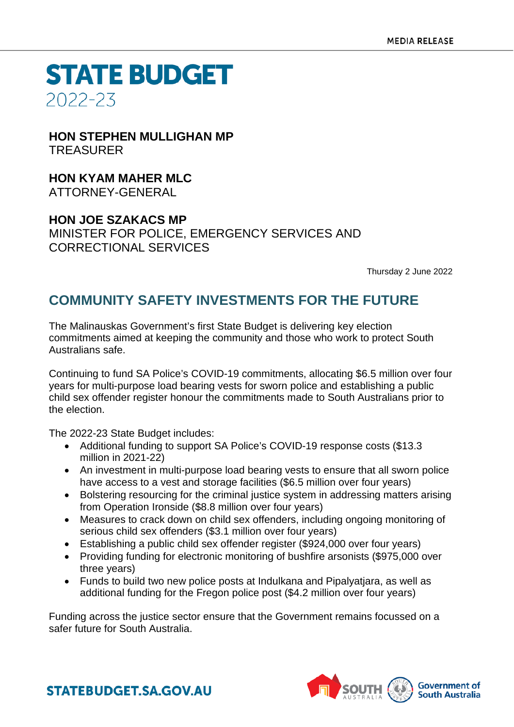**STATE BUDGET** 2022-23

**HON STEPHEN MULLIGHAN MP TREASURER** 

**HON KYAM MAHER MLC** ATTORNEY-GENERAL

**HON JOE SZAKACS MP** MINISTER FOR POLICE, EMERGENCY SERVICES AND CORRECTIONAL SERVICES

Thursday 2 June 2022

# **COMMUNITY SAFETY INVESTMENTS FOR THE FUTURE**

The Malinauskas Government's first State Budget is delivering key election commitments aimed at keeping the community and those who work to protect South Australians safe.

Continuing to fund SA Police's COVID-19 commitments, allocating \$6.5 million over four years for multi-purpose load bearing vests for sworn police and establishing a public child sex offender register honour the commitments made to South Australians prior to the election.

The 2022-23 State Budget includes:

- Additional funding to support SA Police's COVID-19 response costs (\$13.3 million in 2021-22)
- An investment in multi-purpose load bearing vests to ensure that all sworn police have access to a vest and storage facilities (\$6.5 million over four years)
- Bolstering resourcing for the criminal justice system in addressing matters arising from Operation Ironside (\$8.8 million over four years)
- Measures to crack down on child sex offenders, including ongoing monitoring of serious child sex offenders (\$3.1 million over four years)
- Establishing a public child sex offender register (\$924,000 over four years)
- Providing funding for electronic monitoring of bushfire arsonists (\$975,000 over three years)
- Funds to build two new police posts at Indulkana and Pipalyatjara, as well as additional funding for the Fregon police post (\$4.2 million over four years)

Funding across the justice sector ensure that the Government remains focussed on a safer future for South Australia.